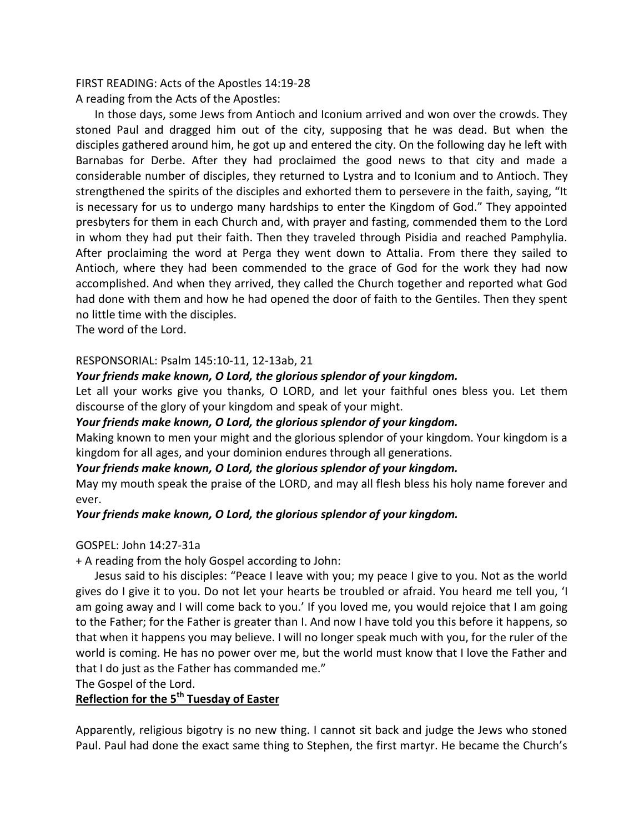FIRST READING: Acts of the Apostles 14:19-28 A reading from the Acts of the Apostles:

In those days, some Jews from Antioch and Iconium arrived and won over the crowds. They stoned Paul and dragged him out of the city, supposing that he was dead. But when the disciples gathered around him, he got up and entered the city. On the following day he left with Barnabas for Derbe. After they had proclaimed the good news to that city and made a considerable number of disciples, they returned to Lystra and to Iconium and to Antioch. They strengthened the spirits of the disciples and exhorted them to persevere in the faith, saying, "It is necessary for us to undergo many hardships to enter the Kingdom of God." They appointed presbyters for them in each Church and, with prayer and fasting, commended them to the Lord in whom they had put their faith. Then they traveled through Pisidia and reached Pamphylia. After proclaiming the word at Perga they went down to Attalia. From there they sailed to Antioch, where they had been commended to the grace of God for the work they had now accomplished. And when they arrived, they called the Church together and reported what God had done with them and how he had opened the door of faith to the Gentiles. Then they spent no little time with the disciples.

The word of the Lord.

## RESPONSORIAL: Psalm 145:10-11, 12-13ab, 21

### *Your friends make known, O Lord, the glorious splendor of your kingdom.*

Let all your works give you thanks, O LORD, and let your faithful ones bless you. Let them discourse of the glory of your kingdom and speak of your might.

### *Your friends make known, O Lord, the glorious splendor of your kingdom.*

Making known to men your might and the glorious splendor of your kingdom. Your kingdom is a kingdom for all ages, and your dominion endures through all generations.

### *Your friends make known, O Lord, the glorious splendor of your kingdom.*

May my mouth speak the praise of the LORD, and may all flesh bless his holy name forever and ever.

### *Your friends make known, O Lord, the glorious splendor of your kingdom.*

### GOSPEL: John 14:27-31a

+ A reading from the holy Gospel according to John:

Jesus said to his disciples: "Peace I leave with you; my peace I give to you. Not as the world gives do I give it to you. Do not let your hearts be troubled or afraid. You heard me tell you, 'I am going away and I will come back to you.' If you loved me, you would rejoice that I am going to the Father; for the Father is greater than I. And now I have told you this before it happens, so that when it happens you may believe. I will no longer speak much with you, for the ruler of the world is coming. He has no power over me, but the world must know that I love the Father and that I do just as the Father has commanded me."

The Gospel of the Lord.

# **Reflection for the 5th Tuesday of Easter**

Apparently, religious bigotry is no new thing. I cannot sit back and judge the Jews who stoned Paul. Paul had done the exact same thing to Stephen, the first martyr. He became the Church's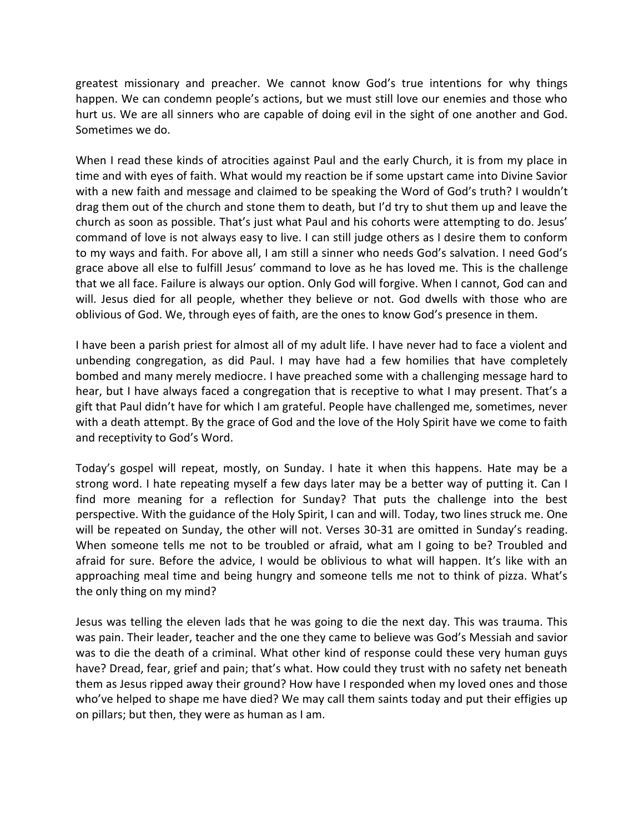greatest missionary and preacher. We cannot know God's true intentions for why things happen. We can condemn people's actions, but we must still love our enemies and those who hurt us. We are all sinners who are capable of doing evil in the sight of one another and God. Sometimes we do.

When I read these kinds of atrocities against Paul and the early Church, it is from my place in time and with eyes of faith. What would my reaction be if some upstart came into Divine Savior with a new faith and message and claimed to be speaking the Word of God's truth? I wouldn't drag them out of the church and stone them to death, but I'd try to shut them up and leave the church as soon as possible. That's just what Paul and his cohorts were attempting to do. Jesus' command of love is not always easy to live. I can still judge others as I desire them to conform to my ways and faith. For above all, I am still a sinner who needs God's salvation. I need God's grace above all else to fulfill Jesus' command to love as he has loved me. This is the challenge that we all face. Failure is always our option. Only God will forgive. When I cannot, God can and will. Jesus died for all people, whether they believe or not. God dwells with those who are oblivious of God. We, through eyes of faith, are the ones to know God's presence in them.

I have been a parish priest for almost all of my adult life. I have never had to face a violent and unbending congregation, as did Paul. I may have had a few homilies that have completely bombed and many merely mediocre. I have preached some with a challenging message hard to hear, but I have always faced a congregation that is receptive to what I may present. That's a gift that Paul didn't have for which I am grateful. People have challenged me, sometimes, never with a death attempt. By the grace of God and the love of the Holy Spirit have we come to faith and receptivity to God's Word.

Today's gospel will repeat, mostly, on Sunday. I hate it when this happens. Hate may be a strong word. I hate repeating myself a few days later may be a better way of putting it. Can I find more meaning for a reflection for Sunday? That puts the challenge into the best perspective. With the guidance of the Holy Spirit, I can and will. Today, two lines struck me. One will be repeated on Sunday, the other will not. Verses 30-31 are omitted in Sunday's reading. When someone tells me not to be troubled or afraid, what am I going to be? Troubled and afraid for sure. Before the advice, I would be oblivious to what will happen. It's like with an approaching meal time and being hungry and someone tells me not to think of pizza. What's the only thing on my mind?

Jesus was telling the eleven lads that he was going to die the next day. This was trauma. This was pain. Their leader, teacher and the one they came to believe was God's Messiah and savior was to die the death of a criminal. What other kind of response could these very human guys have? Dread, fear, grief and pain; that's what. How could they trust with no safety net beneath them as Jesus ripped away their ground? How have I responded when my loved ones and those who've helped to shape me have died? We may call them saints today and put their effigies up on pillars; but then, they were as human as I am.